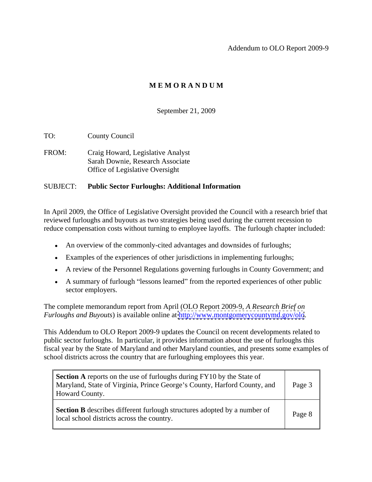Addendum to OLO Report 2009-9

# **M E M O R A N D U M**

### September 21, 2009

TO: County Council

FROM: Craig Howard, Legislative Analyst Sarah Downie, Research Associate Office of Legislative Oversight

#### SUBJECT: **Public Sector Furloughs: Additional Information**

In April 2009, the Office of Legislative Oversight provided the Council with a research brief that reviewed furloughs and buyouts as two strategies being used during the current recession to reduce compensation costs without turning to employee layoffs. The furlough chapter included:

- An overview of the commonly-cited advantages and downsides of furloughs;
- Examples of the experiences of other jurisdictions in implementing furloughs;
- A review of the Personnel Regulations governing furloughs in County Government; and
- A summary of furlough "lessons learned" from the reported experiences of other public sector employers.

The complete memorandum report from April (OLO Report 2009-9, *A Research Brief on Furloughs and Buyouts*) is available online at<http://www.montgomerycountymd.gov/olo>.

This Addendum to OLO Report 2009-9 updates the Council on recent developments related to public sector furloughs. In particular, it provides information about the use of furloughs this fiscal year by the State of Maryland and other Maryland counties, and presents some examples of school districts across the country that are furloughing employees this year.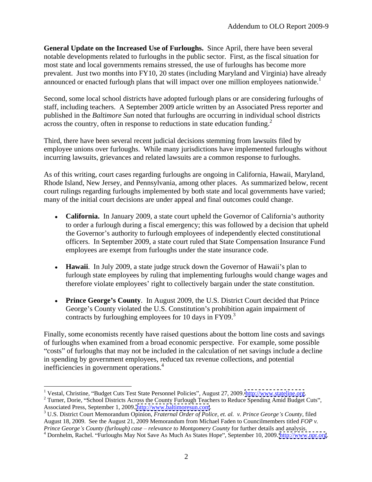**General Update on the Increased Use of Furloughs.** Since April, there have been several notable developments related to furloughs in the public sector. First, as the fiscal situation for most state and local governments remains stressed, the use of furloughs has become more prevalent. Just two months into FY10, 20 states (including Maryland and Virginia) have already announced or enacted furlough plans that will impact over one million employees nationwide.<sup>1</sup>

Second, some local school districts have adopted furlough plans or are considering furloughs of staff, including teachers. A September 2009 article written by an Associated Press reporter and published in the *Baltimore Sun* noted that furloughs are occurring in individual school districts across the country, often in response to reductions in state education funding.<sup>2</sup>

Third, there have been several recent judicial decisions stemming from lawsuits filed by employee unions over furloughs. While many jurisdictions have implemented furloughs without incurring lawsuits, grievances and related lawsuits are a common response to furloughs.

As of this writing, court cases regarding furloughs are ongoing in California, Hawaii, Maryland, Rhode Island, New Jersey, and Pennsylvania, among other places. As summarized below, recent court rulings regarding furloughs implemented by both state and local governments have varied; many of the initial court decisions are under appeal and final outcomes could change.

- California. In January 2009, a state court upheld the Governor of California's authority to order a furlough during a fiscal emergency; this was followed by a decision that upheld the Governor's authority to furlough employees of independently elected constitutional officers. In September 2009, a state court ruled that State Compensation Insurance Fund employees are exempt from furloughs under the state insurance code.
- **Hawaii**. In July 2009, a state judge struck down the Governor of Hawaii's plan to furlough state employees by ruling that implementing furloughs would change wages and therefore violate employees' right to collectively bargain under the state constitution.
- **Prince George s County**. In August 2009, the U.S. District Court decided that Prince George's County violated the U.S. Constitution's prohibition again impairment of contracts by furloughing employees for 10 days in  $FY09<sup>3</sup>$

Finally, some economists recently have raised questions about the bottom line costs and savings of furloughs when examined from a broad economic perspective. For example, some possible "costs" of furloughs that may not be included in the calculation of net savings include a decline in spending by government employees, reduced tax revenue collections, and potential inefficiencies in government operations.<sup>4</sup>

<sup>&</sup>lt;sup>1</sup> Vestal, Christine, "Budget Cuts Test State Personnel Policies", August 27, 2009. <http://www.stateline.org>. <sup>2</sup> Turner, Dorie, "School Districts Across the County Furlough Teachers to Reduce Spending Amid Budget Cuts",

Associated Press, September 1, 2009. <u>http://www.baltimoresun.com</u>.<br><sup>3</sup> U.S. District Court Memorandum Opinion, *Fraternal Order of Police, et. al. v. Prince George's County, filed* 

August 18, 2009. See the August 21, 2009 Memorandum from Michael Faden to Councilmembers titled *FOP v.* 

*Prince George's County (furlough) case – relevance to Montgomery County for further details and analysis.*<br><sup>4</sup> Dornhelm, Rachel. "Furloughs May Not Save As Much As States Hope", September 10, 2009. <http://www.npr.org>.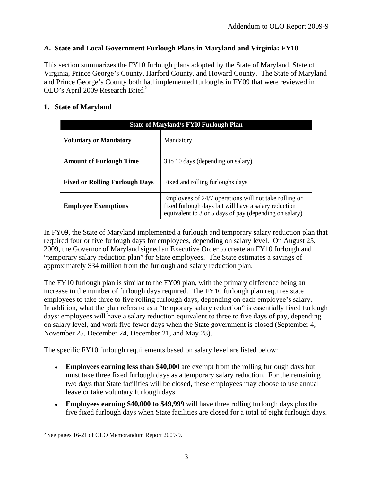### **A. State and Local Government Furlough Plans in Maryland and Virginia: FY10**

This section summarizes the FY10 furlough plans adopted by the State of Maryland, State of Virginia, Prince George's County, Harford County, and Howard County. The State of Maryland and Prince George's County both had implemented furloughs in FY09 that were reviewed in OLO's April 2009 Research Brief.<sup>5</sup>

### **1. State of Maryland**

| State of Maryland's FY10 Furlough Plan |                                                                                                                                                                         |
|----------------------------------------|-------------------------------------------------------------------------------------------------------------------------------------------------------------------------|
| <b>Voluntary or Mandatory</b>          | Mandatory                                                                                                                                                               |
| <b>Amount of Furlough Time</b>         | 3 to 10 days (depending on salary)                                                                                                                                      |
| <b>Fixed or Rolling Furlough Days</b>  | Fixed and rolling furloughs days                                                                                                                                        |
| <b>Employee Exemptions</b>             | Employees of 24/7 operations will not take rolling or<br>fixed furlough days but will have a salary reduction<br>equivalent to 3 or 5 days of pay (depending on salary) |

In FY09, the State of Maryland implemented a furlough and temporary salary reduction plan that required four or five furlough days for employees, depending on salary level. On August 25, 2009, the Governor of Maryland signed an Executive Order to create an FY10 furlough and "temporary salary reduction plan" for State employees. The State estimates a savings of approximately \$34 million from the furlough and salary reduction plan.

The FY10 furlough plan is similar to the FY09 plan, with the primary difference being an increase in the number of furlough days required. The FY10 furlough plan requires state employees to take three to five rolling furlough days, depending on each employee's salary. In addition, what the plan refers to as a "temporary salary reduction" is essentially fixed furlough days: employees will have a salary reduction equivalent to three to five days of pay, depending on salary level, and work five fewer days when the State government is closed (September 4, November 25, December 24, December 21, and May 28).

The specific FY10 furlough requirements based on salary level are listed below:

- **Employees earning less than \$40,000** are exempt from the rolling furlough days but must take three fixed furlough days as a temporary salary reduction. For the remaining two days that State facilities will be closed, these employees may choose to use annual leave or take voluntary furlough days.
- **Employees earning \$40,000 to \$49,999** will have three rolling furlough days plus the five fixed furlough days when State facilities are closed for a total of eight furlough days.

 $\frac{5}{5}$  See pages 16.21 of OLO Memorandum Beport 2000.0  $<sup>5</sup>$  See pages 16-21 of OLO Memorandum Report 2009-9.</sup>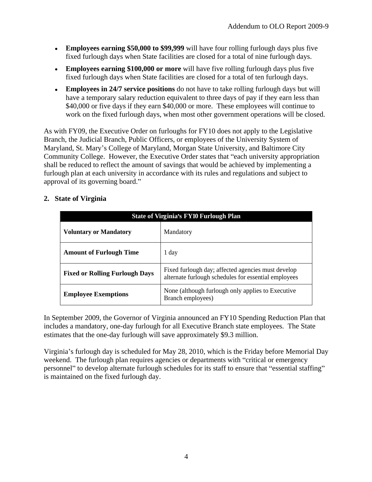- **Employees earning \$50,000 to \$99,999** will have four rolling furlough days plus five fixed furlough days when State facilities are closed for a total of nine furlough days.
- **Employees earning \$100,000 or more** will have five rolling furlough days plus five fixed furlough days when State facilities are closed for a total of ten furlough days.
- **Employees in 24/7 service positions** do not have to take rolling furlough days but will have a temporary salary reduction equivalent to three days of pay if they earn less than \$40,000 or five days if they earn \$40,000 or more. These employees will continue to work on the fixed furlough days, when most other government operations will be closed.

As with FY09, the Executive Order on furloughs for FY10 does not apply to the Legislative Branch, the Judicial Branch, Public Officers, or employees of the University System of Maryland, St. Mary's College of Maryland, Morgan State University, and Baltimore City Community College. However, the Executive Order states that "each university appropriation shall be reduced to reflect the amount of savings that would be achieved by implementing a furlough plan at each university in accordance with its rules and regulations and subject to approval of its governing board.

### **2. State of Virginia**

| <b>State of Virginia's FY10 Furlough Plan</b> |                                                                                                            |
|-----------------------------------------------|------------------------------------------------------------------------------------------------------------|
| <b>Voluntary or Mandatory</b>                 | Mandatory                                                                                                  |
| <b>Amount of Furlough Time</b>                | 1 day                                                                                                      |
| <b>Fixed or Rolling Furlough Days</b>         | Fixed furlough day; affected agencies must develop<br>alternate furlough schedules for essential employees |
| <b>Employee Exemptions</b>                    | None (although furlough only applies to Executive<br>Branch employees)                                     |

In September 2009, the Governor of Virginia announced an FY10 Spending Reduction Plan that includes a mandatory, one-day furlough for all Executive Branch state employees. The State estimates that the one-day furlough will save approximately \$9.3 million.

Virginia's furlough day is scheduled for May 28, 2010, which is the Friday before Memorial Day weekend. The furlough plan requires agencies or departments with "critical or emergency" personnel" to develop alternate furlough schedules for its staff to ensure that "essential staffing" is maintained on the fixed furlough day.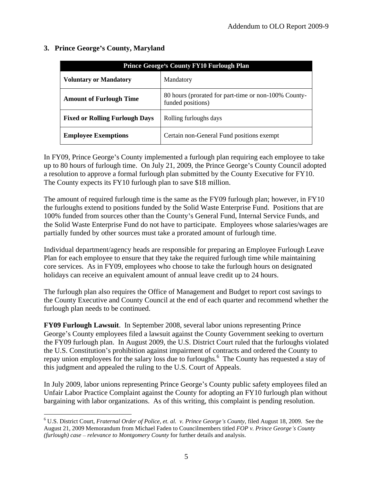| <b>Prince George's County FY10 Furlough Plan</b> |                                                                           |
|--------------------------------------------------|---------------------------------------------------------------------------|
| <b>Voluntary or Mandatory</b>                    | Mandatory                                                                 |
| <b>Amount of Furlough Time</b>                   | 80 hours (prorated for part-time or non-100% County-<br>funded positions) |
| <b>Fixed or Rolling Furlough Days</b>            | Rolling furloughs days                                                    |
| <b>Employee Exemptions</b>                       | Certain non-General Fund positions exempt                                 |

### **3. Prince George s County, Maryland**

In FY09, Prince George's County implemented a furlough plan requiring each employee to take up to 80 hours of furlough time. On July 21, 2009, the Prince George's County Council adopted a resolution to approve a formal furlough plan submitted by the County Executive for FY10. The County expects its FY10 furlough plan to save \$18 million.

The amount of required furlough time is the same as the FY09 furlough plan; however, in FY10 the furloughs extend to positions funded by the Solid Waste Enterprise Fund. Positions that are 100% funded from sources other than the County's General Fund, Internal Service Funds, and the Solid Waste Enterprise Fund do not have to participate. Employees whose salaries/wages are partially funded by other sources must take a prorated amount of furlough time.

Individual department/agency heads are responsible for preparing an Employee Furlough Leave Plan for each employee to ensure that they take the required furlough time while maintaining core services. As in FY09, employees who choose to take the furlough hours on designated holidays can receive an equivalent amount of annual leave credit up to 24 hours.

The furlough plan also requires the Office of Management and Budget to report cost savings to the County Executive and County Council at the end of each quarter and recommend whether the furlough plan needs to be continued.

**FY09 Furlough Lawsuit**. In September 2008, several labor unions representing Prince George's County employees filed a lawsuit against the County Government seeking to overturn the FY09 furlough plan. In August 2009, the U.S. District Court ruled that the furloughs violated the U.S. Constitution's prohibition against impairment of contracts and ordered the County to repay union employees for the salary loss due to furloughs.<sup>6</sup> The County has requested a stay of this judgment and appealed the ruling to the U.S. Court of Appeals.

In July 2009, labor unions representing Prince George's County public safety employees filed an Unfair Labor Practice Complaint against the County for adopting an FY10 furlough plan without bargaining with labor organizations. As of this writing, this complaint is pending resolution.

 <sup>6</sup> U.S. District Court, *Fraternal Order of Police, et. al. v. Prince George s County,* filed August 18, 2009. See the August 21, 2009 Memorandum from Michael Faden to Councilmembers titled *FOP v. Prince George s County (furlough) case – relevance to Montgomery County* for further details and analysis.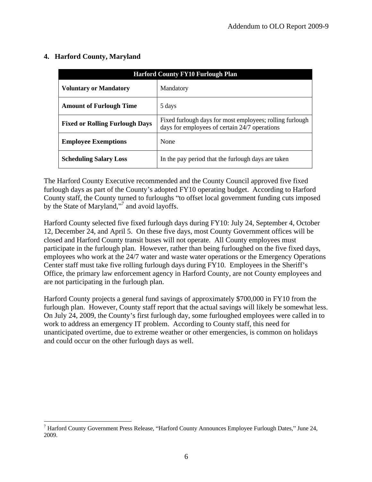|                                       | <b>Harford County FY10 Furlough Plan</b>                                                                    |
|---------------------------------------|-------------------------------------------------------------------------------------------------------------|
| Voluntary or Mandatory                | Mandatory                                                                                                   |
| <b>Amount of Furlough Time</b>        | 5 days                                                                                                      |
| <b>Fixed or Rolling Furlough Days</b> | Fixed furlough days for most employees; rolling furlough  <br>days for employees of certain 24/7 operations |
| <b>Employee Exemptions</b>            | None                                                                                                        |
| <b>Scheduling Salary Loss</b>         | In the pay period that the furlough days are taken                                                          |

## **4. Harford County, Maryland**

The Harford County Executive recommended and the County Council approved five fixed furlough days as part of the County's adopted FY10 operating budget. According to Harford County staff, the County turned to furloughs "to offset local government funding cuts imposed by the State of Maryland,"<sup>7</sup> and avoid layoffs.

Harford County selected five fixed furlough days during FY10: July 24, September 4, October 12, December 24, and April 5. On these five days, most County Government offices will be closed and Harford County transit buses will not operate. All County employees must participate in the furlough plan. However, rather than being furloughed on the five fixed days, employees who work at the 24/7 water and waste water operations or the Emergency Operations Center staff must take five rolling furlough days during FY10. Employees in the Sheriff's Office, the primary law enforcement agency in Harford County, are not County employees and are not participating in the furlough plan. Harford County projects a general fund savings of approximately \$700,000 in FY10 from the

furlough plan. However, County staff report that the actual savings will likely be somewhat less. On July 24, 2009, the County's first furlough day, some furloughed employees were called in to work to address an emergency IT problem. According to County staff, this need for unanticipated overtime, due to extreme weather or other emergencies, is common on holidays and could occur on the other furlough days as well.

 $7$  Harford County Government Press Release, "Harford County Announces Employee Furlough Dates," June 24, 2009.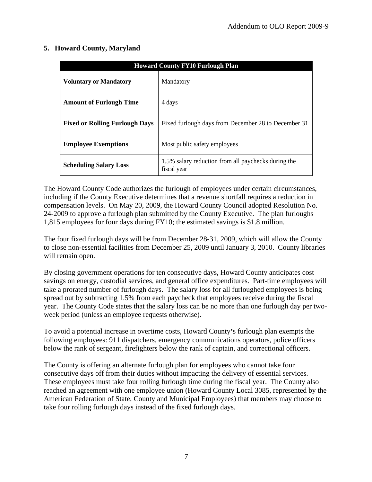### **5. Howard County, Maryland**

|                                | <b>Howard County FY10 Furlough Plan</b>                                                   |
|--------------------------------|-------------------------------------------------------------------------------------------|
| <b>Voluntary or Mandatory</b>  | Mandatory                                                                                 |
| <b>Amount of Furlough Time</b> | 4 days                                                                                    |
|                                | <b>Fixed or Rolling Furlough Days</b> Fixed furlough days from December 28 to December 31 |
| <b>Employee Exemptions</b>     | Most public safety employees                                                              |
| <b>Scheduling Salary Loss</b>  | 1.5% salary reduction from all paychecks during the<br>fiscal year                        |

The Howard County Code authorizes the furlough of employees under certain circumstances, including if the County Executive determines that a revenue shortfall requires a reduction in compensation levels. On May 20, 2009, the Howard County Council adopted Resolution No. 24-2009 to approve a furlough plan submitted by the County Executive. The plan furloughs 1,815 employees for four days during FY10; the estimated savings is \$1.8 million.

The four fixed furlough days will be from December 28-31, 2009, which will allow the County to close non-essential facilities from December 25, 2009 until January 3, 2010. County libraries will remain open.

By closing government operations for ten consecutive days, Howard County anticipates cost savings on energy, custodial services, and general office expenditures. Part-time employees will take a prorated number of furlough days. The salary loss for all furloughed employees is being spread out by subtracting 1.5% from each paycheck that employees receive during the fiscal year. The County Code states that the salary loss can be no more than one furlough day per two week period (unless an employee requests otherwise).

To avoid a potential increase in overtime costs, Howard County's furlough plan exempts the following employees: 911 dispatchers, emergency communications operators, police officers below the rank of sergeant, firefighters below the rank of captain, and correctional officers.

The County is offering an alternate furlough plan for employees who cannot take four consecutive days off from their duties without impacting the delivery of essential services. These employees must take four rolling furlough time during the fiscal year. The County also reached an agreement with one employee union (Howard County Local 3085, represented by the American Federation of State, County and Municipal Employees) that members may choose to take four rolling furlough days instead of the fixed furlough days.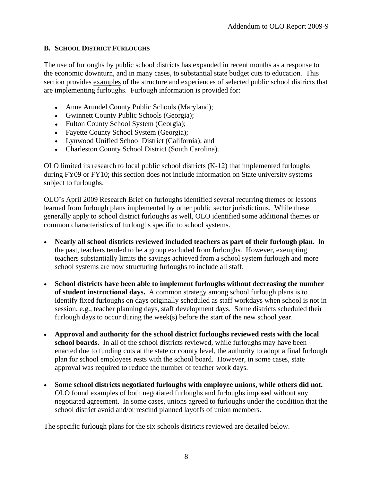### **B. SCHOOL DISTRICT FURLOUGHS**

The use of furloughs by public school districts has expanded in recent months as a response to the economic downturn, and in many cases, to substantial state budget cuts to education. This section provides examples of the structure and experiences of selected public school districts that are implementing furloughs. Furlough information is provided for:

- Anne Arundel County Public Schools (Maryland):
- Gwinnett County Public Schools (Georgia);
- Fulton County School System (Georgia);
- Fayette County School System (Georgia);
- Lynwood Unified School District (California); and
- Charleston County School District (South Carolina).

OLO limited its research to local public school districts (K-12) that implemented furloughs during FY09 or FY10; this section does not include information on State university systems subject to furloughs.

OLO s April 2009 Research Brief on furloughs identified several recurring themes or lessons learned from furlough plans implemented by other public sector jurisdictions. While these generally apply to school district furloughs as well, OLO identified some additional themes or common characteristics of furloughs specific to school systems.

- **Nearly all school districts reviewed included teachers as part of their furlough plan.** In the past, teachers tended to be a group excluded from furloughs. However, exempting teachers substantially limits the savings achieved from a school system furlough and more school systems are now structuring furloughs to include all staff.
- **School districts have been able to implement furloughs without decreasing the number of student instructional days.** A common strategy among school furlough plans is to identify fixed furloughs on days originally scheduled as staff workdays when school is not in session, e.g., teacher planning days, staff development days. Some districts scheduled their furlough days to occur during the week(s) before the start of the new school year.
- **Approval and authority for the school district furloughs reviewed rests with the local school boards.** In all of the school districts reviewed, while furloughs may have been enacted due to funding cuts at the state or county level, the authority to adopt a final furlough plan for school employees rests with the school board. However, in some cases, state approval was required to reduce the number of teacher work days.
- **Some school districts negotiated furloughs with employee unions, while others did not.** OLO found examples of both negotiated furloughs and furloughs imposed without any negotiated agreement. In some cases, unions agreed to furloughs under the condition that the school district avoid and/or rescind planned layoffs of union members.

The specific furlough plans for the six schools districts reviewed are detailed below.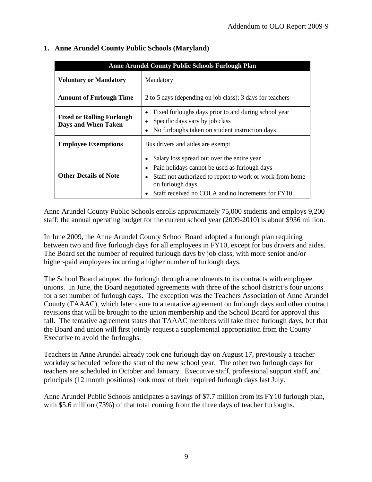|                                                         | Anne Arundel County Public Schools Furlough Plan                                                                                                                                                                                          |
|---------------------------------------------------------|-------------------------------------------------------------------------------------------------------------------------------------------------------------------------------------------------------------------------------------------|
| Voluntary or Mandatory                                  | Mandatory                                                                                                                                                                                                                                 |
| <b>Amount of Furlough Time</b>                          | 2 to 5 days (depending on job class); 3 days for teachers                                                                                                                                                                                 |
| <b>Fixed or Rolling Furlough</b><br>Days and When Taken | • Fixed furloughs days prior to and during school year<br>• Specific days vary by job class<br>• No furloughs taken on student instruction days                                                                                           |
| <b>Employee Exemptions</b>                              | Bus drivers and aides are exempt                                                                                                                                                                                                          |
| <b>Other Details of Note</b>                            | • Salary loss spread out over the entire year<br>• Paid holidays cannot be used as furlough days<br>• Staff not authorized to report to work or work from home<br>on furlough days<br>• Staff received no COLA and no increments for FY10 |

### **1. Anne Arundel County Public Schools (Maryland)**

Anne Arundel County Public Schools enrolls approximately 75,000 students and employs 9,200 staff; the annual operating budget for the current school year (2009-2010) is about \$936 million.

In June 2009, the Anne Arundel County School Board adopted a furlough plan requiring between two and five furlough days for all employees in FY10, except for bus drivers and aides. The Board set the number of required furlough days by job class, with more senior and/or higher-paid employees incurring a higher number of furlough days.

The School Board adopted the furlough through amendments to its contracts with employee unions. In June, the Board negotiated agreements with three of the school district's four unions for a set number of furlough days. The exception was the Teachers Association of Anne Arundel County (TAAAC), which later came to a tentative agreement on furlough days and other contract revisions that will be brought to the union membership and the School Board for approval this fall. The tentative agreement states that TAAAC members will take three furlough days, but that the Board and union will first jointly request a supplemental appropriation from the County Executive to avoid the furloughs.

Teachers in Anne Arundel already took one furlough day on August 17, previously a teacher workday scheduled before the start of the new school year. The other two furlough days for teachers are scheduled in October and January. Executive staff, professional support staff, and principals (12 month positions) took most of their required furlough days last July.

Anne Arundel Public Schools anticipates a savings of \$7.7 million from its FY10 furlough plan, with \$5.6 million (73%) of that total coming from the three days of teacher furloughs.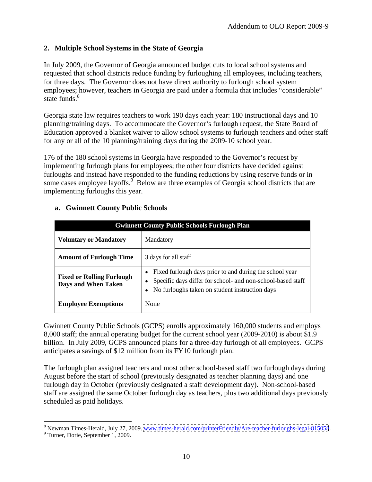### **2. Multiple School Systems in the State of Georgia**

In July 2009, the Governor of Georgia announced budget cuts to local school systems and requested that school districts reduce funding by furloughing all employees, including teachers, for three days. The Governor does not have direct authority to furlough school system employees; however, teachers in Georgia are paid under a formula that includes "considerable" state funds.<sup>8</sup> state funds.<sup>8</sup>

Georgia state law requires teachers to work 190 days each year: 180 instructional days and 10 planning/training days. To accommodate the Governor s furlough request, the State Board of Education approved a blanket waiver to allow school systems to furlough teachers and other staff for any or all of the 10 planning/training days during the 2009-10 school year.

176 of the 180 school systems in Georgia have responded to the Governor's request by implementing furlough plans for employees; the other four districts have decided against furloughs and instead have responded to the funding reductions by using reserve funds or in some cases employee layoffs. $\frac{9}{5}$  Below are three examples of Georgia school districts that are implementing furloughs this year.

|                                                         | <b>Gwinnett County Public Schools Furlough Plan</b>                                                                                                                                    |
|---------------------------------------------------------|----------------------------------------------------------------------------------------------------------------------------------------------------------------------------------------|
| <b>Voluntary or Mandatory</b>                           | Mandatory                                                                                                                                                                              |
| <b>Amount of Furlough Time</b>                          | 3 days for all staff                                                                                                                                                                   |
| <b>Fixed or Rolling Furlough</b><br>Days and When Taken | • Fixed furlough days prior to and during the school year<br>• Specific days differ for school- and non-school-based staff<br>$\bullet$ No furloughs taken on student instruction days |
| <b>Employee Exemptions</b>                              | None                                                                                                                                                                                   |

### **a. Gwinnett County Public Schools**

Gwinnett County Public Schools (GCPS) enrolls approximately 160,000 students and employs 8,000 staff; the annual operating budget for the current school year (2009-2010) is about \$1.9 billion. In July 2009, GCPS announced plans for a three-day furlough of all employees. GCPS anticipates a savings of \$12 million from its FY10 furlough plan.

The furlough plan assigned teachers and most other school-based staff two furlough days during August before the start of school (previously designated as teacher planning days) and one furlough day in October (previously designated a staff development day). Non-school-based staff are assigned the same October furlough day as teachers, plus two additional days previously scheduled as paid holidays.

 $\frac{8 \text{ N} \cdot \text{N} \cdot \text{N} \cdot \text{N} \cdot \text{N} \cdot \text{N} \cdot \text{N} \cdot \text{N} \cdot \text{N} \cdot \text{N} \cdot \text{N} \cdot \text{N} \cdot \text{N} \cdot \text{N} \cdot \text{N} \cdot \text{N} \cdot \text{N} \cdot \text{N} \cdot \text{N} \cdot \text{N} \cdot \text{N} \cdot \text{N} \cdot \text{N} \cdot \text{N} \cdot \text{N} \cdot \text{N} \cdot \text{N} \cdot \text{N} \cdot \text{N} \cdot \text{N} \cdot \text{N} \$ <sup>8</sup> Newman Times-Herald, July 27, 2009. <u>www.times-herald.com/printerFriendly/Are-teacher-furloughs-legal-815058</u>.<br><sup>9</sup> Turner, Derie, September 1, 2009.

Turner, Dorie, September 1, 2009.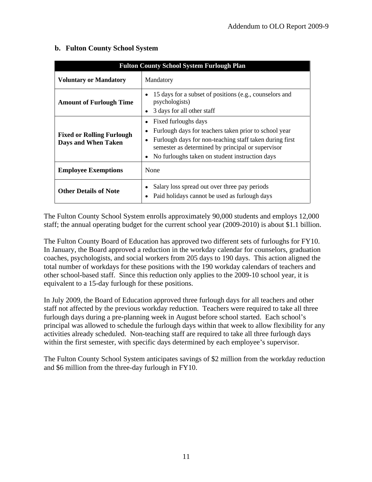|                                                         | <b>Fulton County School System Furlough Plan</b>                                                                                                                                                                                                        |
|---------------------------------------------------------|---------------------------------------------------------------------------------------------------------------------------------------------------------------------------------------------------------------------------------------------------------|
| Voluntary or Mandatory                                  | Mandatory                                                                                                                                                                                                                                               |
| <b>Amount of Furlough Time</b>                          | • 15 days for a subset of positions (e.g., counselors and<br>psychologists)<br>• 3 days for all other staff                                                                                                                                             |
| <b>Fixed or Rolling Furlough</b><br>Days and When Taken | • Fixed furloughs days<br>• Furlough days for teachers taken prior to school year<br>• Furlough days for non-teaching staff taken during first<br>semester as determined by principal or supervisor<br>• No furloughs taken on student instruction days |
| <b>Employee Exemptions</b>                              | None                                                                                                                                                                                                                                                    |
| <b>Other Details of Note</b>                            | • Salary loss spread out over three pay periods<br>• Paid holidays cannot be used as furlough days                                                                                                                                                      |

### **b. Fulton County School System**

The Fulton County School System enrolls approximately 90,000 students and employs 12,000 staff; the annual operating budget for the current school year (2009-2010) is about \$1.1 billion.

The Fulton County Board of Education has approved two different sets of furloughs for FY10. In January, the Board approved a reduction in the workday calendar for counselors, graduation coaches, psychologists, and social workers from 205 days to 190 days. This action aligned the total number of workdays for these positions with the 190 workday calendars of teachers and other school-based staff. Since this reduction only applies to the 2009-10 school year, it is equivalent to a 15-day furlough for these positions.

In July 2009, the Board of Education approved three furlough days for all teachers and other staff not affected by the previous workday reduction. Teachers were required to take all three furlough days during a pre-planning week in August before school started. Each school's principal was allowed to schedule the furlough days within that week to allow flexibility for any activities already scheduled. Non-teaching staff are required to take all three furlough days within the first semester, with specific days determined by each employee's supervisor.

The Fulton County School System anticipates savings of \$2 million from the workday reduction and \$6 million from the three-day furlough in FY10.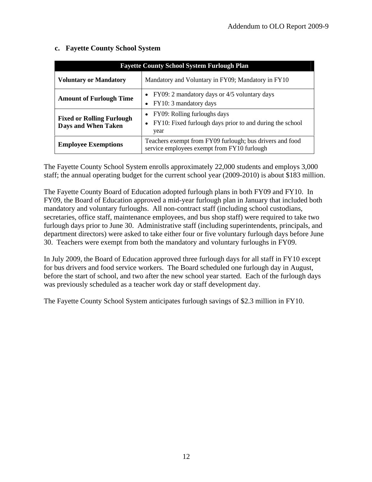| <b>Fayette County School System Furlough Plan</b>       |                                                                                                              |
|---------------------------------------------------------|--------------------------------------------------------------------------------------------------------------|
| <b>Voluntary or Mandatory</b>                           | Mandatory and Voluntary in FY09; Mandatory in FY10                                                           |
| <b>Amount of Furlough Time</b>                          | • FY09: 2 mandatory days or 4/5 voluntary days<br>$\bullet$ FY10: 3 mandatory days                           |
| <b>Fixed or Rolling Furlough</b><br>Days and When Taken | • FY09: Rolling furloughs days<br>$\bullet$ FY10: Fixed furlough days prior to and during the school<br>year |
| <b>Employee Exemptions</b>                              | Teachers exempt from FY09 furlough; bus drivers and food<br>service employees exempt from FY10 furlough      |

### **c. Fayette County School System**

The Fayette County School System enrolls approximately 22,000 students and employs 3,000 staff; the annual operating budget for the current school year (2009-2010) is about \$183 million.

The Fayette County Board of Education adopted furlough plans in both FY09 and FY10. In FY09, the Board of Education approved a mid-year furlough plan in January that included both mandatory and voluntary furloughs. All non-contract staff (including school custodians, secretaries, office staff, maintenance employees, and bus shop staff) were required to take two furlough days prior to June 30. Administrative staff (including superintendents, principals, and department directors) were asked to take either four or five voluntary furlough days before June 30. Teachers were exempt from both the mandatory and voluntary furloughs in FY09.

In July 2009, the Board of Education approved three furlough days for all staff in FY10 except for bus drivers and food service workers. The Board scheduled one furlough day in August, before the start of school, and two after the new school year started. Each of the furlough days was previously scheduled as a teacher work day or staff development day.

The Fayette County School System anticipates furlough savings of \$2.3 million in FY10.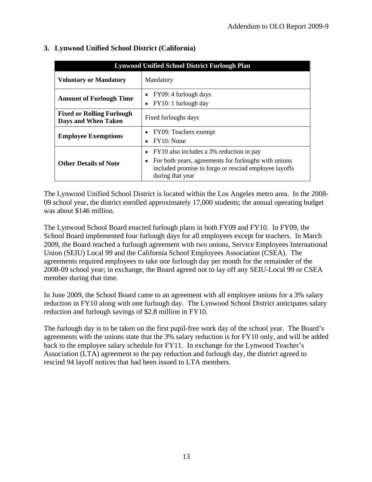|                                                         | Lynwood Unified School District Furlough Plan                                                                                                                                     |
|---------------------------------------------------------|-----------------------------------------------------------------------------------------------------------------------------------------------------------------------------------|
| <b>Voluntary or Mandatory</b>                           | Mandatory                                                                                                                                                                         |
| <b>Amount of Furlough Time</b>                          | • FY09: 4 furlough days<br>• FY10: 1 furlough day                                                                                                                                 |
| <b>Fixed or Rolling Furlough</b><br>Days and When Taken | Fixed furloughs days                                                                                                                                                              |
| <b>Employee Exemptions</b>                              | • FY09: Teachers exempt<br>$\bullet$ FY10: None                                                                                                                                   |
| <b>Other Details of Note</b>                            | • FY10 also includes a 3% reduction in pay<br>• For both years, agreements for furloughs with unions<br>included promise to forgo or rescind employee layoffs<br>during that year |

## **3. Lynwood Unified School District (California)**

The Lynwood Unified School District is located within the Los Angeles metro area. In the 2008- 09 school year, the district enrolled approximately 17,000 students; the annual operating budget was about \$146 million.

The Lynwood School Board enacted furlough plans in both FY09 and FY10. In FY09, the School Board implemented four furlough days for all employees except for teachers. In March 2009, the Board reached a furlough agreement with two unions, Service Employees International Union (SEIU) Local 99 and the California School Employees Association (CSEA). The agreements required employees to take one furlough day per month for the remainder of the 2008-09 school year; in exchange, the Board agreed not to lay off any SEIU-Local 99 or CSEA member during that time.

In June 2009, the School Board came to an agreement with all employee unions for a 3% salary reduction in FY10 along with one furlough day. The Lynwood School District anticipates salary reduction and furlough savings of \$2.8 million in FY10.

The furlough day is to be taken on the first pupil-free work day of the school year. The Board's agreements with the unions state that the 3% salary reduction is for FY10 only, and will be added back to the employee salary schedule for FY11. In exchange for the Lynwood Teacher's Association (LTA) agreement to the pay reduction and furlough day, the district agreed to rescind 94 layoff notices that had been issued to LTA members.